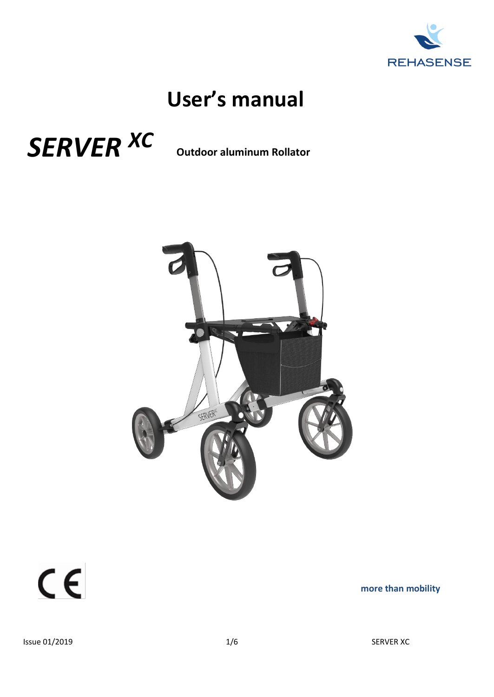

# **User's manual**





 $C \in$ 

**more than mobility**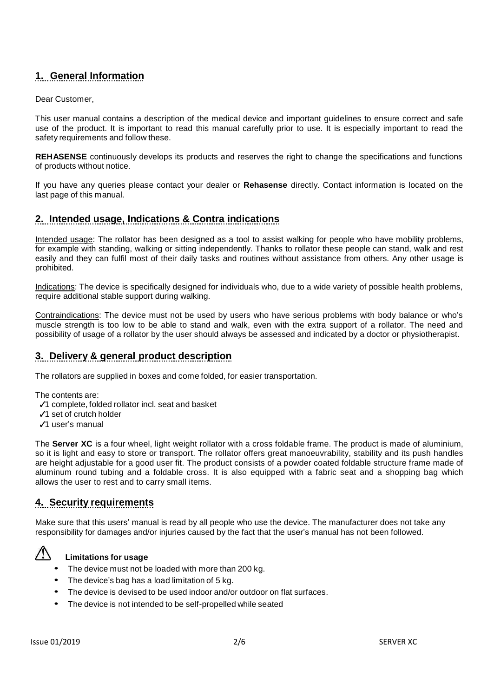## **1. General Information**

#### Dear Customer,

This user manual contains a description of the medical device and important guidelines to ensure correct and safe use of the product. It is important to read this manual carefully prior to use. It is especially important to read the safety requirements and follow these.

**REHASENSE** continuously develops its products and reserves the right to change the specifications and functions of products without notice.

If you have any queries please contact your dealer or **Rehasense** directly. Contact information is located on the last page of this manual.

#### **2. Intended usage, Indications & Contra indications**

Intended usage: The rollator has been designed as a tool to assist walking for people who have mobility problems, for example with standing, walking or sitting independently. Thanks to rollator these people can stand, walk and rest easily and they can fulfil most of their daily tasks and routines without assistance from others. Any other usage is prohibited.

Indications: The device is specifically designed for individuals who, due to a wide variety of possible health problems, require additional stable support during walking.

Contraindications: The device must not be used by users who have serious problems with body balance or who's muscle strength is too low to be able to stand and walk, even with the extra support of a rollator. The need and possibility of usage of a rollator by the user should always be assessed and indicated by a doctor or physiotherapist.

### **3. Delivery & general product description**

The rollators are supplied in boxes and come folded, for easier transportation.

The contents are:

- ✓1 complete, folded rollator incl. seat and basket
- ✓1 set of crutch holder
- ✓1 user's manual

The **Server XC** is a four wheel, light weight rollator with a cross foldable frame. The product is made of aluminium, so it is light and easy to store or transport. The rollator offers great manoeuvrability, stability and its push handles are height adjustable for a good user fit. The product consists of a powder coated foldable structure frame made of aluminum round tubing and a foldable cross. It is also equipped with a fabric seat and a shopping bag which allows the user to rest and to carry small items.

#### **4. Security requirements**

Make sure that this users' manual is read by all people who use the device. The manufacturer does not take any responsibility for damages and/or injuries caused by the fact that the user's manual has not been followed.



#### **Limitations for usage**

- The device must not be loaded with more than <sup>200</sup> kg.
- The device's bag has <sup>a</sup> load limitation of 5 kg.
- The device is devised to be used indoor and/or outdoor on flat surfaces.
- The device is not intended to be self-propelled while seated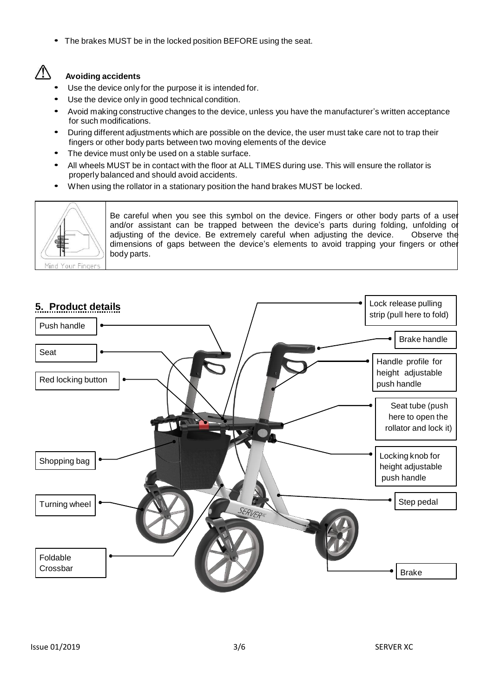• The brakes MUST be in the locked position BEFORE using the seat.

## $\sqrt{N}$

#### **Avoiding accidents**

- Use the device only for the purpose it is intended for.
- Use the device only in good technical condition.
- Avoid making constructive changes to the device, unless you have the manufacturer's written acceptance for such modifications.
- During different adjustments which are possible on the device, the user must take care not to trap their fingers or other body parts between two moving elements of the device
- The device must only be used on a stable surface.
- All wheels MUST be in contact with the floor at ALL TIMES during use. This will ensure the rollator is properly balanced and should avoid accidents.
- When using the rollator in <sup>a</sup> stationary position the hand brakes MUST be locked.



Be careful when you see this symbol on the device. Fingers or other body parts of a user and/or assistant can be trapped between the device's parts during folding, unfolding or adjusting of the device. Be extremely careful when adjusting the device. Observe the dimensions of gaps between the device's elements to avoid trapping your fingers or other body parts.

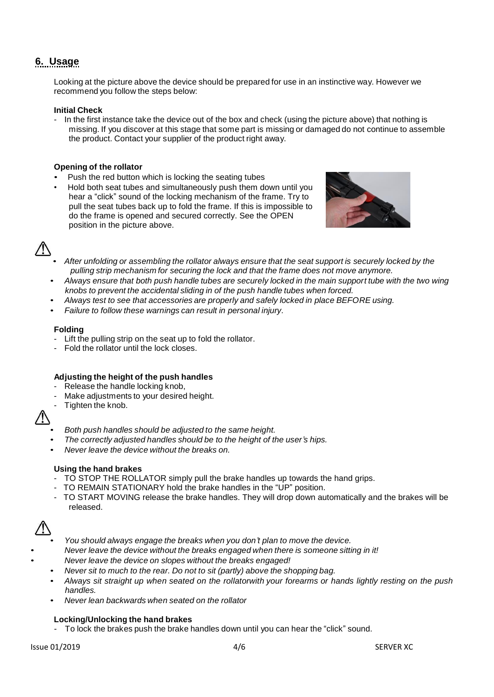## **6. Usage**

Looking at the picture above the device should be prepared for use in an instinctive way. However we recommend you follow the steps below:

#### **Initial Check**

- In the first instance take the device out of the box and check (using the picture above) that nothing is missing. If you discover at this stage that some part is missing or damaged do not continue to assemble the product. Contact your supplier of the product right away.

#### **Opening of the rollator**

- Push the red button which is locking the seating tubes
- Hold both seat tubes and simultaneously push them down until you hear a "click" sound of the locking mechanism of the frame. Try to pull the seat tubes back up to fold the frame. If this is impossible to do the frame is opened and secured correctly. See the OPEN position in the picture above.



- *After unfolding or assembling the rollator always ensure that the seat support is securely locked by the pulling strip mechanism for securing the lock and that the frame does not move anymore.*
- Always ensure that both push handle tubes are securely locked in the main support tube with the two wing *knobs to prevent the accidental sliding in of the push handle tubes when forced.*
- *Always test to see that accessories are properly and safely locked in place BEFORE using.*
- *Failure to follow these warnings can result in personal injury.*

#### **Folding**

- Lift the pulling strip on the seat up to fold the rollator.
- Fold the rollator until the lock closes.

#### **Adjusting the height of the push handles**

- Release the handle locking knob,
- Make adjustments to your desired height.
- Tighten the knob.

- *Both push handles should be adjusted to the same height.*
- *The correctly adjusted handles should be to the height of the user's hips.*
- *Never leave the device without the breaks on.*

#### **Using the hand brakes**

- TO STOP THE ROLLATOR simply pull the brake handles up towards the hand grips.
- TO REMAIN STATIONARY hold the brake handles in the "UP" position.
- TO START MOVING release the brake handles. They will drop down automatically and the brakes will be released.



- *You should always engage the breaks when you don't plan to move the device.*
- *Never leave the device without the breaks engaged when there is someone sitting in it!*
- *Never leave the device on slopes without the breaks engaged!*
	- *Never sit to much to the rear. Do not to sit (partly) above the shopping bag.*
	- Always sit straight up when seated on the rollatorwith your forearms or hands lightly resting on the push *handles.*
	- *Never lean backwards when seated on the rollator*

#### **Locking/Unlocking the hand brakes**

- To lock the brakes push the brake handles down until you can hear the "click" sound.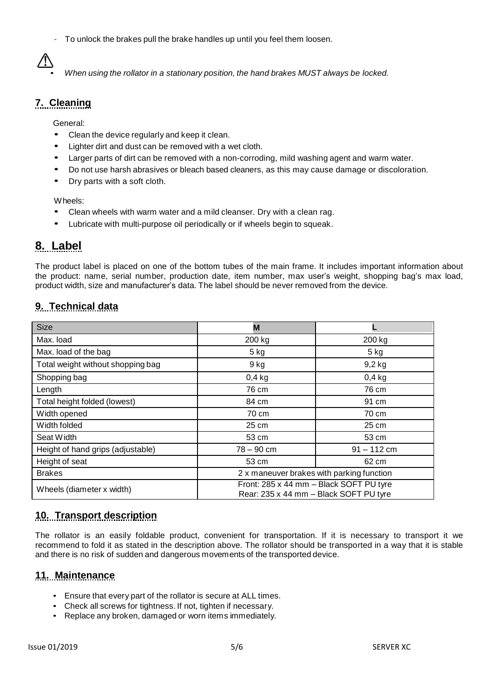- To unlock the brakes pull the brake handles up until you feel them loosen.



• *When using the rollator in a stationary position, the hand brakes MUST always be locked.*

### **7. Cleaning**

General:

- Clean the device regularly and keep it clean.
- Lighter dirt and dust can be removed with a wet cloth.
- Larger parts of dirt can be removed with a non-corroding, mild washing agent and warm water.
- Do not use harsh abrasives or bleach based cleaners, as this may cause damage or discoloration.
- Dry parts with a soft cloth.

Wheels:

- Clean wheels with warm water and <sup>a</sup> mild cleanser. Dry with a clean rag.
- Lubricate with multi-purpose oil periodically or if wheels begin to squeak.

## **8. Label**

The product label is placed on one of the bottom tubes of the main frame. It includes important information about the product: name, serial number, production date, item number, max user's weight, shopping bag's max load, product width, size and manufacturer's data. The label should be never removed from the device.

#### **9. Technical data**

| <b>Size</b>                       | М                                                                                 |               |
|-----------------------------------|-----------------------------------------------------------------------------------|---------------|
| Max. load                         | 200 kg                                                                            | 200 kg        |
| Max. load of the bag              | $5$ kg                                                                            | $5$ kg        |
| Total weight without shopping bag | 9 kg                                                                              | $9,2$ kg      |
| Shopping bag                      | $0,4$ kg                                                                          | $0,4$ kg      |
| Length                            | 76 cm                                                                             | 76 cm         |
| Total height folded (lowest)      | 84 cm                                                                             | 91 cm         |
| Width opened                      | 70 cm                                                                             | 70 cm         |
| Width folded                      | 25 cm                                                                             | 25 cm         |
| Seat Width                        | 53 cm                                                                             | 53 cm         |
| Height of hand grips (adjustable) | $78 - 90$ cm                                                                      | $91 - 112$ cm |
| Height of seat                    | 53 cm                                                                             | 62 cm         |
| <b>Brakes</b>                     | 2 x maneuver brakes with parking function                                         |               |
| Wheels (diameter x width)         | Front: 285 x 44 mm - Black SOFT PU tyre<br>Rear: 235 x 44 mm - Black SOFT PU tyre |               |

#### **10. Transport description**

The rollator is an easily foldable product, convenient for transportation. If it is necessary to transport it we recommend to fold it as stated in the description above. The rollator should be transported in a way that it is stable and there is no risk of sudden and dangerous movements of the transported device.

#### **11. Maintenance**

- Ensure that every part of the rollator is secure at ALL times.
- Check all screws for tightness. If not, tighten if necessary.
- Replace any broken, damaged or worn items immediately.